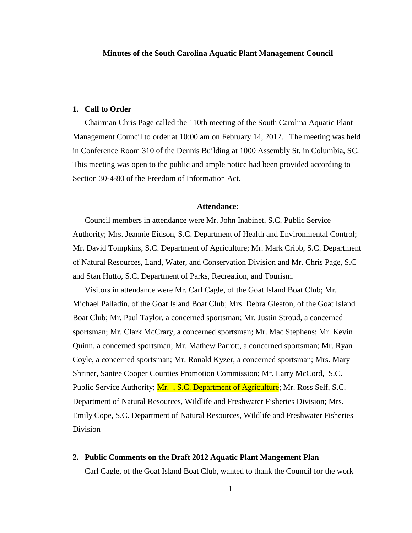## **Minutes of the South Carolina Aquatic Plant Management Council**

## **1. Call to Order**

Chairman Chris Page called the 110th meeting of the South Carolina Aquatic Plant Management Council to order at 10:00 am on February 14, 2012. The meeting was held in Conference Room 310 of the Dennis Building at 1000 Assembly St. in Columbia, SC. This meeting was open to the public and ample notice had been provided according to Section 30-4-80 of the Freedom of Information Act.

#### **Attendance:**

Council members in attendance were Mr. John Inabinet, S.C. Public Service Authority; Mrs. Jeannie Eidson, S.C. Department of Health and Environmental Control; Mr. David Tompkins, S.C. Department of Agriculture; Mr. Mark Cribb, S.C. Department of Natural Resources, Land, Water, and Conservation Division and Mr. Chris Page, S.C and Stan Hutto, S.C. Department of Parks, Recreation, and Tourism.

Visitors in attendance were Mr. Carl Cagle, of the Goat Island Boat Club; Mr. Michael Palladin, of the Goat Island Boat Club; Mrs. Debra Gleaton, of the Goat Island Boat Club; Mr. Paul Taylor, a concerned sportsman; Mr. Justin Stroud, a concerned sportsman; Mr. Clark McCrary, a concerned sportsman; Mr. Mac Stephens; Mr. Kevin Quinn, a concerned sportsman; Mr. Mathew Parrott, a concerned sportsman; Mr. Ryan Coyle, a concerned sportsman; Mr. Ronald Kyzer, a concerned sportsman; Mrs. Mary Shriner, Santee Cooper Counties Promotion Commission; Mr. Larry McCord, S.C. Public Service Authority; Mr., S.C. Department of Agriculture; Mr. Ross Self, S.C. Department of Natural Resources, Wildlife and Freshwater Fisheries Division; Mrs. Emily Cope, S.C. Department of Natural Resources, Wildlife and Freshwater Fisheries Division

**2. Public Comments on the Draft 2012 Aquatic Plant Mangement Plan** Carl Cagle, of the Goat Island Boat Club, wanted to thank the Council for the work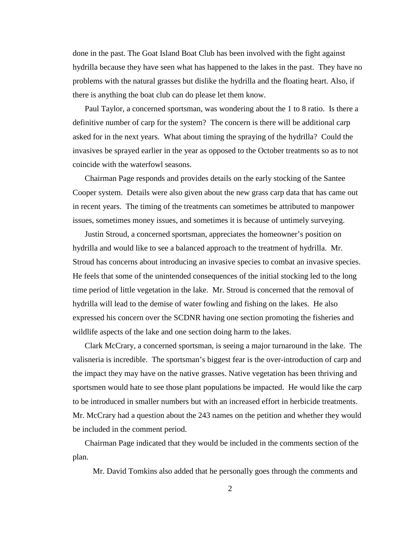done in the past. The Goat Island Boat Club has been involved with the fight against hydrilla because they have seen what has happened to the lakes in the past. They have no problems with the natural grasses but dislike the hydrilla and the floating heart. Also, if there is anything the boat club can do please let them know.

Paul Taylor, a concerned sportsman, was wondering about the 1 to 8 ratio. Is there a definitive number of carp for the system? The concern is there will be additional carp asked for in the next years. What about timing the spraying of the hydrilla? Could the invasives be sprayed earlier in the year as opposed to the October treatments so as to not coincide with the waterfowl seasons.

Chairman Page responds and provides details on the early stocking of the Santee Cooper system. Details were also given about the new grass carp data that has came out in recent years. The timing of the treatments can sometimes be attributed to manpower issues, sometimes money issues, and sometimes it is because of untimely surveying.

Justin Stroud, a concerned sportsman, appreciates the homeowner's position on hydrilla and would like to see a balanced approach to the treatment of hydrilla. Mr. Stroud has concerns about introducing an invasive species to combat an invasive species. He feels that some of the unintended consequences of the initial stocking led to the long time period of little vegetation in the lake. Mr. Stroud is concerned that the removal of hydrilla will lead to the demise of water fowling and fishing on the lakes. He also expressed his concern over the SCDNR having one section promoting the fisheries and wildlife aspects of the lake and one section doing harm to the lakes.

Clark McCrary, a concerned sportsman, is seeing a major turnaround in the lake. The valisneria is incredible. The sportsman's biggest fear is the over-introduction of carp and the impact they may have on the native grasses. Native vegetation has been thriving and sportsmen would hate to see those plant populations be impacted. He would like the carp to be introduced in smaller numbers but with an increased effort in herbicide treatments. Mr. McCrary had a question about the 243 names on the petition and whether they would be included in the comment period.

Chairman Page indicated that they would be included in the comments section of the plan.

Mr. David Tomkins also added that he personally goes through the comments and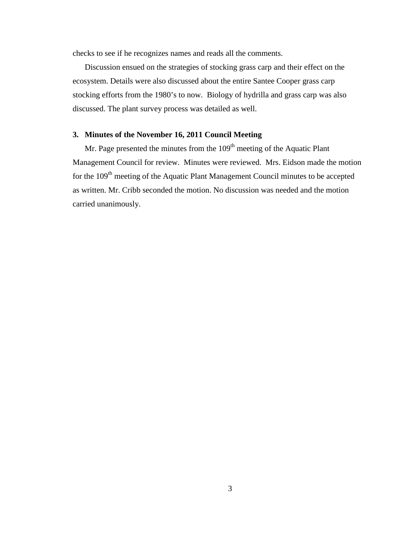checks to see if he recognizes names and reads all the comments.

Discussion ensued on the strategies of stocking grass carp and their effect on the ecosystem. Details were also discussed about the entire Santee Cooper grass carp stocking efforts from the 1980's to now. Biology of hydrilla and grass carp was also discussed. The plant survey process was detailed as well.

## **3. Minutes of the November 16, 2011 Council Meeting**

Mr. Page presented the minutes from the  $109<sup>th</sup>$  meeting of the Aquatic Plant Management Council for review. Minutes were reviewed. Mrs. Eidson made the motion for the 109<sup>th</sup> meeting of the Aquatic Plant Management Council minutes to be accepted as written. Mr. Cribb seconded the motion. No discussion was needed and the motion carried unanimously.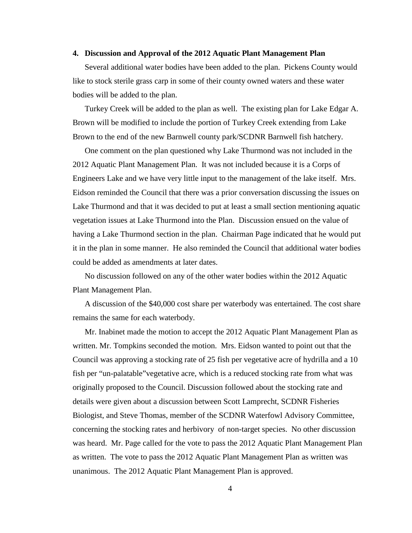## **4. Discussion and Approval of the 2012 Aquatic Plant Management Plan**

Several additional water bodies have been added to the plan. Pickens County would like to stock sterile grass carp in some of their county owned waters and these water bodies will be added to the plan.

Turkey Creek will be added to the plan as well. The existing plan for Lake Edgar A. Brown will be modified to include the portion of Turkey Creek extending from Lake Brown to the end of the new Barnwell county park/SCDNR Barnwell fish hatchery.

One comment on the plan questioned why Lake Thurmond was not included in the 2012 Aquatic Plant Management Plan. It was not included because it is a Corps of Engineers Lake and we have very little input to the management of the lake itself. Mrs. Eidson reminded the Council that there was a prior conversation discussing the issues on Lake Thurmond and that it was decided to put at least a small section mentioning aquatic vegetation issues at Lake Thurmond into the Plan. Discussion ensued on the value of having a Lake Thurmond section in the plan. Chairman Page indicated that he would put it in the plan in some manner. He also reminded the Council that additional water bodies could be added as amendments at later dates.

No discussion followed on any of the other water bodies within the 2012 Aquatic Plant Management Plan.

A discussion of the \$40,000 cost share per waterbody was entertained. The cost share remains the same for each waterbody.

Mr. Inabinet made the motion to accept the 2012 Aquatic Plant Management Plan as written. Mr. Tompkins seconded the motion. Mrs. Eidson wanted to point out that the Council was approving a stocking rate of 25 fish per vegetative acre of hydrilla and a 10 fish per "un-palatable"vegetative acre, which is a reduced stocking rate from what was originally proposed to the Council. Discussion followed about the stocking rate and details were given about a discussion between Scott Lamprecht, SCDNR Fisheries Biologist, and Steve Thomas, member of the SCDNR Waterfowl Advisory Committee, concerning the stocking rates and herbivory of non-target species. No other discussion was heard. Mr. Page called for the vote to pass the 2012 Aquatic Plant Management Plan as written. The vote to pass the 2012 Aquatic Plant Management Plan as written was unanimous. The 2012 Aquatic Plant Management Plan is approved.